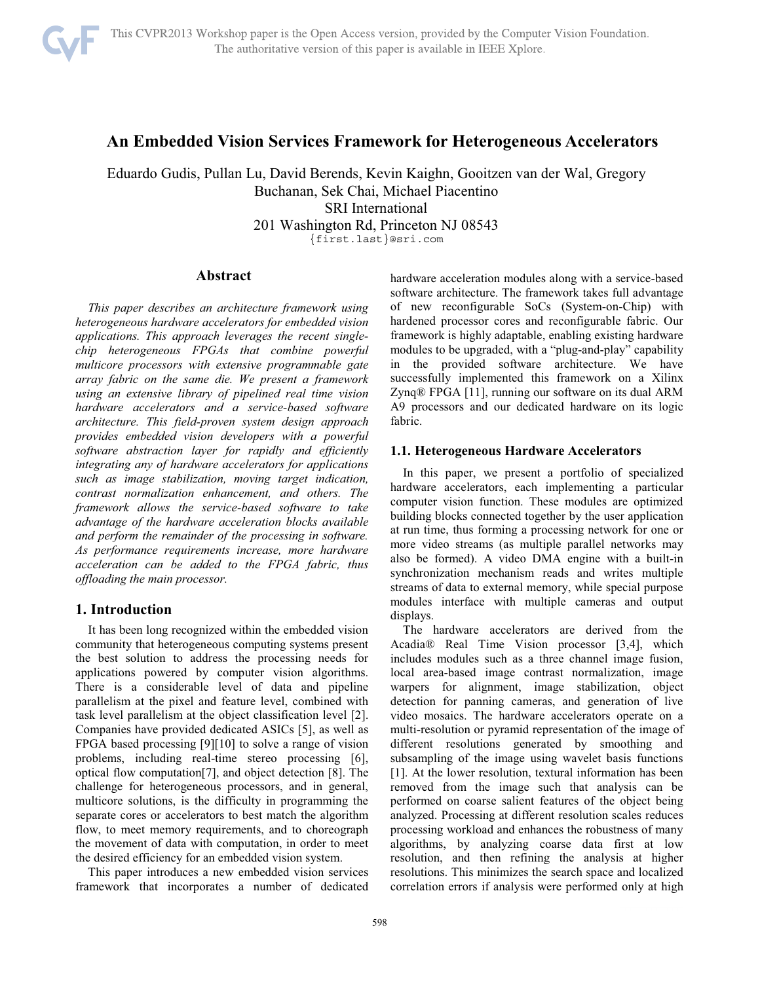

# **An Embedded Vision Services Framework for Heterogeneous Accelerators**

Eduardo Gudis, Pullan Lu, David Berends, Kevin Kaighn, Gooitzen van der Wal, Gregory Buchanan, Sek Chai, Michael Piacentino SRI International 201 Washington Rd, Princeton NJ 08543 {first.last}@sri.com

# **Abstract**

*This paper describes an architecture framework using heterogeneous hardware accelerators for embedded vision applications. This approach leverages the recent singlechip heterogeneous FPGAs that combine powerful multicore processors with extensive programmable gate array fabric on the same die. We present a framework using an extensive library of pipelined real time vision hardware accelerators and a service-based software architecture. This field-proven system design approach provides embedded vision developers with a powerful software abstraction layer for rapidly and efficiently integrating any of hardware accelerators for applications such as image stabilization, moving target indication, contrast normalization enhancement, and others. The framework allows the service-based software to take advantage of the hardware acceleration blocks available and perform the remainder of the processing in software. As performance requirements increase, more hardware acceleration can be added to the FPGA fabric, thus offloading the main processor.* 

# **1. Introduction**

It has been long recognized within the embedded vision community that heterogeneous computing systems present the best solution to address the processing needs for applications powered by computer vision algorithms. There is a considerable level of data and pipeline parallelism at the pixel and feature level, combined with task level parallelism at the object classification level [2]. Companies have provided dedicated ASICs [5], as well as FPGA based processing [9][10] to solve a range of vision problems, including real-time stereo processing [6], optical flow computation[7], and object detection [8]. The challenge for heterogeneous processors, and in general, multicore solutions, is the difficulty in programming the separate cores or accelerators to best match the algorithm flow, to meet memory requirements, and to choreograph the movement of data with computation, in order to meet the desired efficiency for an embedded vision system.

This paper introduces a new embedded vision services framework that incorporates a number of dedicated hardware acceleration modules along with a service-based software architecture. The framework takes full advantage of new reconfigurable SoCs (System-on-Chip) with hardened processor cores and reconfigurable fabric. Our framework is highly adaptable, enabling existing hardware modules to be upgraded, with a "plug-and-play" capability in the provided software architecture. We have successfully implemented this framework on a Xilinx Zynq® FPGA [11], running our software on its dual ARM A9 processors and our dedicated hardware on its logic fabric.

# **1.1. Heterogeneous Hardware Accelerators**

In this paper, we present a portfolio of specialized hardware accelerators, each implementing a particular computer vision function. These modules are optimized building blocks connected together by the user application at run time, thus forming a processing network for one or more video streams (as multiple parallel networks may also be formed). A video DMA engine with a built-in synchronization mechanism reads and writes multiple streams of data to external memory, while special purpose modules interface with multiple cameras and output displays.

The hardware accelerators are derived from the Acadia® Real Time Vision processor [3,4], which includes modules such as a three channel image fusion, local area-based image contrast normalization, image warpers for alignment, image stabilization, object detection for panning cameras, and generation of live video mosaics. The hardware accelerators operate on a multi-resolution or pyramid representation of the image of different resolutions generated by smoothing and subsampling of the image using wavelet basis functions [1]. At the lower resolution, textural information has been removed from the image such that analysis can be performed on coarse salient features of the object being analyzed. Processing at different resolution scales reduces processing workload and enhances the robustness of many algorithms, by analyzing coarse data first at low resolution, and then refining the analysis at higher resolutions. This minimizes the search space and localized correlation errors if analysis were performed only at high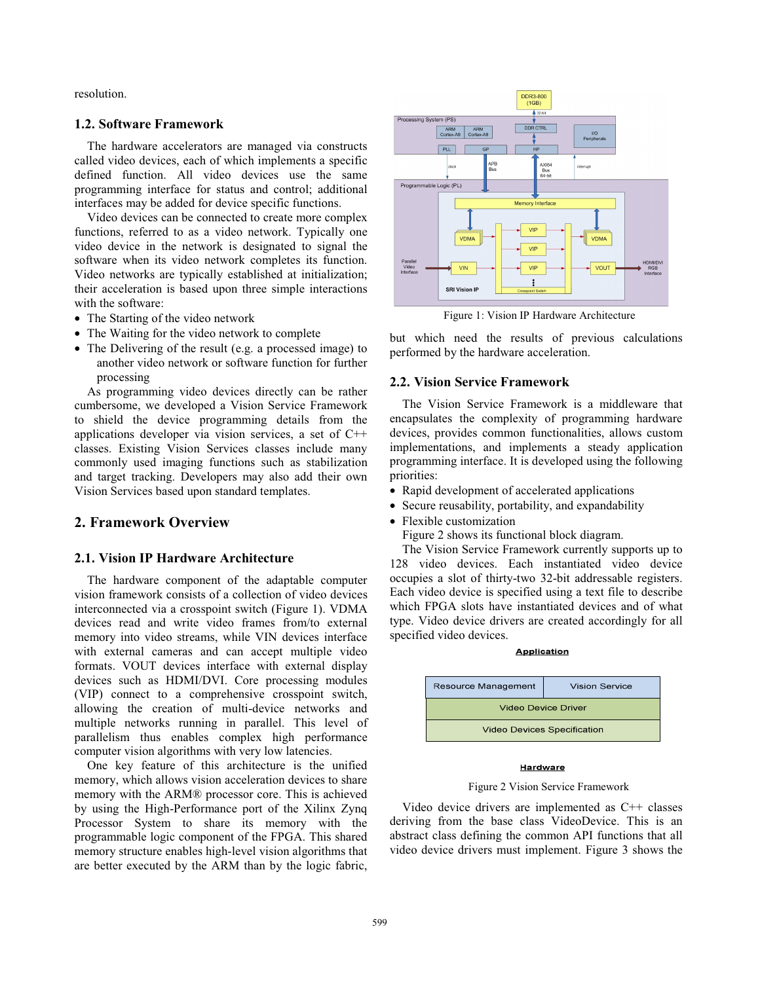resolution.

### **1.2. Software Framework**

The hardware accelerators are managed via constructs called video devices, each of which implements a specific defined function. All video devices use the same programming interface for status and control; additional interfaces may be added for device specific functions.

Video devices can be connected to create more complex functions, referred to as a video network. Typically one video device in the network is designated to signal the software when its video network completes its function. Video networks are typically established at initialization; their acceleration is based upon three simple interactions with the software:

- The Starting of the video network
- The Waiting for the video network to complete
- The Delivering of the result (e.g. a processed image) to another video network or software function for further processing

As programming video devices directly can be rather cumbersome, we developed a Vision Service Framework to shield the device programming details from the applications developer via vision services, a set of C++ classes. Existing Vision Services classes include many commonly used imaging functions such as stabilization and target tracking. Developers may also add their own Vision Services based upon standard templates.

# **2. Framework Overview**

## **2.1. Vision IP Hardware Architecture**

The hardware component of the adaptable computer vision framework consists of a collection of video devices interconnected via a crosspoint switch (Figure 1). VDMA devices read and write video frames from/to external memory into video streams, while VIN devices interface with external cameras and can accept multiple video formats. VOUT devices interface with external display devices such as HDMI/DVI. Core processing modules (VIP) connect to a comprehensive crosspoint switch, allowing the creation of multi-device networks and multiple networks running in parallel. This level of parallelism thus enables complex high performance computer vision algorithms with very low latencies.

One key feature of this architecture is the unified memory, which allows vision acceleration devices to share memory with the ARM® processor core. This is achieved by using the High-Performance port of the Xilinx Zynq Processor System to share its memory with the programmable logic component of the FPGA. This shared memory structure enables high-level vision algorithms that are better executed by the ARM than by the logic fabric,



Figure 1: Vision IP Hardware Architecture

but which need the results of previous calculations performed by the hardware acceleration.

## **2.2. Vision Service Framework**

The Vision Service Framework is a middleware that encapsulates the complexity of programming hardware devices, provides common functionalities, allows custom implementations, and implements a steady application programming interface. It is developed using the following priorities:

- Rapid development of accelerated applications
- Secure reusability, portability, and expandability
- Flexible customization
	- Figure 2 shows its functional block diagram.

The Vision Service Framework currently supports up to 128 video devices. Each instantiated video device occupies a slot of thirty-two 32-bit addressable registers. Each video device is specified using a text file to describe which FPGA slots have instantiated devices and of what type. Video device drivers are created accordingly for all specified video devices.

**Application** 



#### Hardware

#### Figure 2 Vision Service Framework

Video device drivers are implemented as C++ classes deriving from the base class VideoDevice. This is an abstract class defining the common API functions that all video device drivers must implement. Figure 3 shows the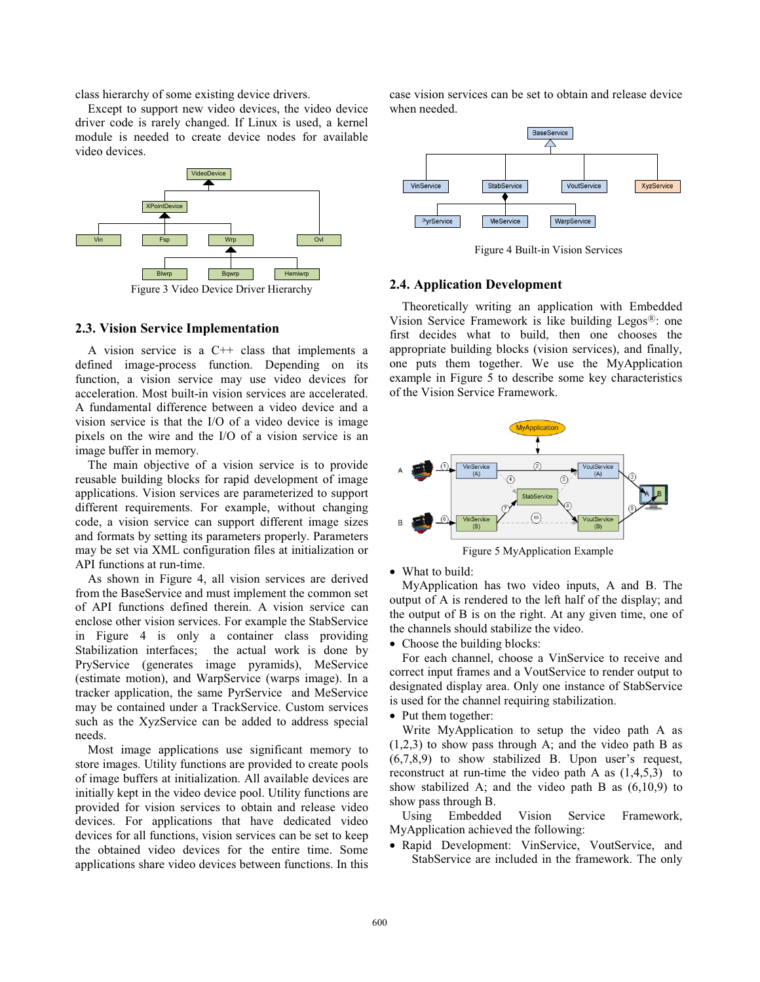class hierarchy of some existing device drivers.

Except to support new video devices, the video device driver code is rarely changed. If Linux is used, a kernel module is needed to create device nodes for available video devices.



#### **2.3. Vision Service Implementation**

A vision service is a  $C++$  class that implements a defined image-process function. Depending on its function, a vision service may use video devices for acceleration. Most built-in vision services are accelerated. A fundamental difference between a video device and a vision service is that the I/O of a video device is image pixels on the wire and the I/O of a vision service is an image buffer in memory.

The main objective of a vision service is to provide reusable building blocks for rapid development of image applications. Vision services are parameterized to support different requirements. For example, without changing code, a vision service can support different image sizes and formats by setting its parameters properly. Parameters may be set via XML configuration files at initialization or API functions at run-time.

As shown in Figure 4, all vision services are derived from the BaseService and must implement the common set of API functions defined therein. A vision service can enclose other vision services. For example the StabService in Figure 4 is only a container class providing Stabilization interfaces; the actual work is done by PryService (generates image pyramids), MeService (estimate motion), and WarpService (warps image). In a tracker application, the same PyrService and MeService may be contained under a TrackService. Custom services such as the XyzService can be added to address special needs.

Most image applications use significant memory to store images. Utility functions are provided to create pools of image buffers at initialization. All available devices are initially kept in the video device pool. Utility functions are provided for vision services to obtain and release video devices. For applications that have dedicated video devices for all functions, vision services can be set to keep the obtained video devices for the entire time. Some applications share video devices between functions. In this case vision services can be set to obtain and release device when needed.



Figure 4 Built-in Vision Services

### **2.4. Application Development**

Theoretically writing an application with Embedded Vision Service Framework is like building Legos<sup>®</sup>: one first decides what to build, then one chooses the appropriate building blocks (vision services), and finally, one puts them together. We use the MyApplication example in Figure 5 to describe some key characteristics of the Vision Service Framework.



Figure 5 MyApplication Example

• What to build:

MyApplication has two video inputs, A and B. The output of A is rendered to the left half of the display; and the output of B is on the right. At any given time, one of the channels should stabilize the video.

• Choose the building blocks:

For each channel, choose a VinService to receive and correct input frames and a VoutService to render output to designated display area. Only one instance of StabService is used for the channel requiring stabilization.

• Put them together:

Write MyApplication to setup the video path A as (1,2,3) to show pass through A; and the video path B as  $(6,7,8,9)$  to show stabilized B. Upon user's request, reconstruct at run-time the video path A as (1,4,5,3) to show stabilized A; and the video path B as  $(6,10,9)$  to show pass through B.

Using Embedded Vision Service Framework, MyApplication achieved the following:

• Rapid Development: VinService, VoutService, and StabService are included in the framework. The only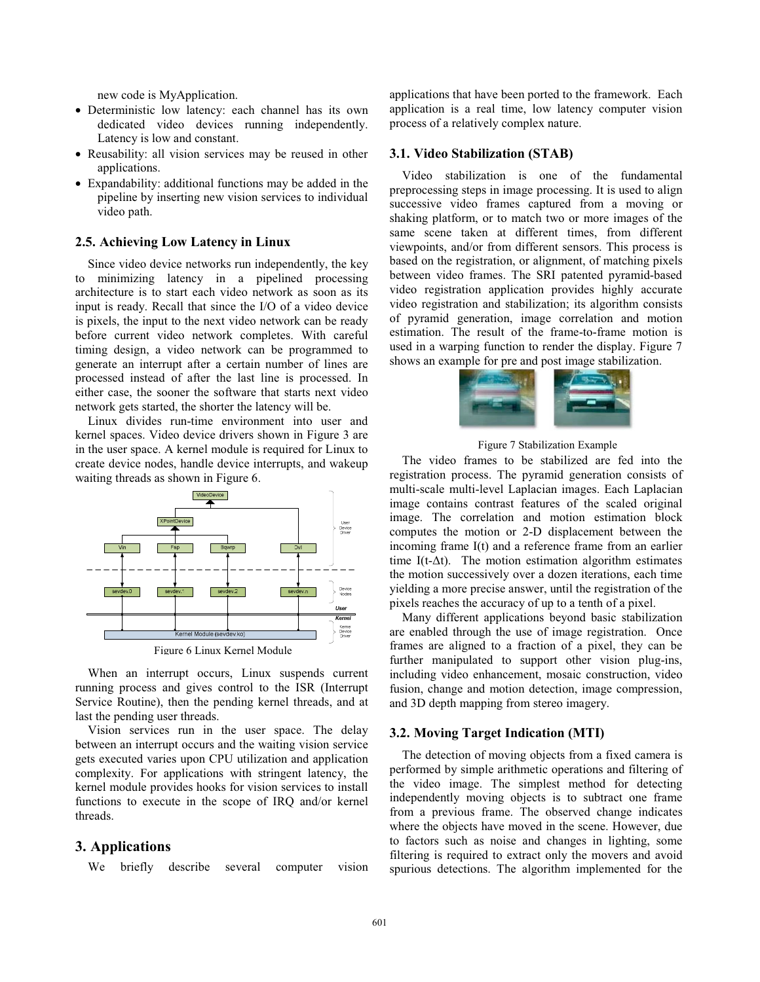new code is MyApplication.

- Deterministic low latency: each channel has its own dedicated video devices running independently. Latency is low and constant.
- Reusability: all vision services may be reused in other applications.
- Expandability: additional functions may be added in the pipeline by inserting new vision services to individual video path.

### **2.5. Achieving Low Latency in Linux**

Since video device networks run independently, the key to minimizing latency in a pipelined processing architecture is to start each video network as soon as its input is ready. Recall that since the I/O of a video device is pixels, the input to the next video network can be ready before current video network completes. With careful timing design, a video network can be programmed to generate an interrupt after a certain number of lines are processed instead of after the last line is processed. In either case, the sooner the software that starts next video network gets started, the shorter the latency will be.

Linux divides run-time environment into user and kernel spaces. Video device drivers shown in Figure 3 are in the user space. A kernel module is required for Linux to create device nodes, handle device interrupts, and wakeup waiting threads as shown in Figure 6.



When an interrupt occurs, Linux suspends current running process and gives control to the ISR (Interrupt Service Routine), then the pending kernel threads, and at last the pending user threads.

Vision services run in the user space. The delay between an interrupt occurs and the waiting vision service gets executed varies upon CPU utilization and application complexity. For applications with stringent latency, the kernel module provides hooks for vision services to install functions to execute in the scope of IRQ and/or kernel threads.

## **3. Applications**

We briefly describe several computer vision

applications that have been ported to the framework. Each application is a real time, low latency computer vision process of a relatively complex nature.

#### **3.1. Video Stabilization (STAB)**

Video stabilization is one of the fundamental preprocessing steps in image processing. It is used to align successive video frames captured from a moving or shaking platform, or to match two or more images of the same scene taken at different times, from different viewpoints, and/or from different sensors. This process is based on the registration, or alignment, of matching pixels between video frames. The SRI patented pyramid-based video registration application provides highly accurate video registration and stabilization; its algorithm consists of pyramid generation, image correlation and motion estimation. The result of the frame-to-frame motion is used in a warping function to render the display. Figure 7 shows an example for pre and post image stabilization.



Figure 7 Stabilization Example

The video frames to be stabilized are fed into the registration process. The pyramid generation consists of multi-scale multi-level Laplacian images. Each Laplacian image contains contrast features of the scaled original image. The correlation and motion estimation block computes the motion or 2-D displacement between the incoming frame I(t) and a reference frame from an earlier time I( $t$ - $\Delta t$ ). The motion estimation algorithm estimates the motion successively over a dozen iterations, each time yielding a more precise answer, until the registration of the pixels reaches the accuracy of up to a tenth of a pixel.

Many different applications beyond basic stabilization are enabled through the use of image registration. Once frames are aligned to a fraction of a pixel, they can be further manipulated to support other vision plug-ins, including video enhancement, mosaic construction, video fusion, change and motion detection, image compression, and 3D depth mapping from stereo imagery.

#### **3.2. Moving Target Indication (MTI)**

The detection of moving objects from a fixed camera is performed by simple arithmetic operations and filtering of the video image. The simplest method for detecting independently moving objects is to subtract one frame from a previous frame. The observed change indicates where the objects have moved in the scene. However, due to factors such as noise and changes in lighting, some filtering is required to extract only the movers and avoid spurious detections. The algorithm implemented for the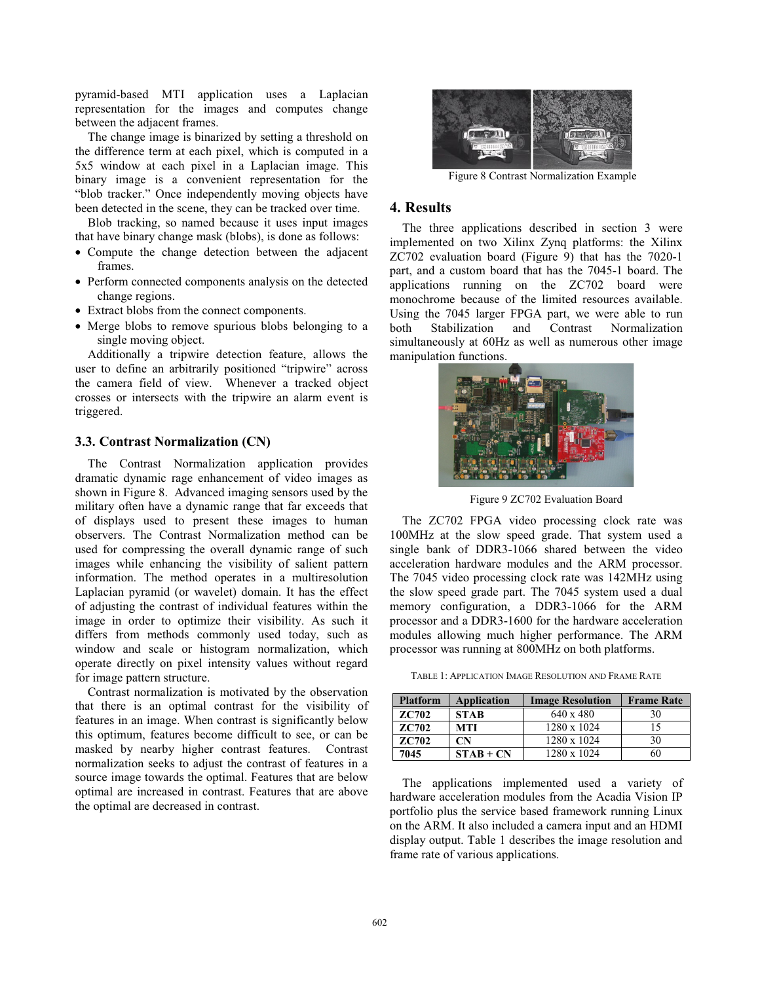pyramid-based MTI application uses a Laplacian representation for the images and computes change between the adjacent frames.

The change image is binarized by setting a threshold on the difference term at each pixel, which is computed in a 5x5 window at each pixel in a Laplacian image. This binary image is a convenient representation for the "blob tracker." Once independently moving objects have been detected in the scene, they can be tracked over time.

Blob tracking, so named because it uses input images that have binary change mask (blobs), is done as follows:

- Compute the change detection between the adjacent frames.
- Perform connected components analysis on the detected change regions.
- Extract blobs from the connect components.
- Merge blobs to remove spurious blobs belonging to a single moving object.

Additionally a tripwire detection feature, allows the user to define an arbitrarily positioned "tripwire" across the camera field of view. Whenever a tracked object crosses or intersects with the tripwire an alarm event is triggered.

## **3.3. Contrast Normalization (CN)**

The Contrast Normalization application provides dramatic dynamic rage enhancement of video images as shown in Figure 8. Advanced imaging sensors used by the military often have a dynamic range that far exceeds that of displays used to present these images to human observers. The Contrast Normalization method can be used for compressing the overall dynamic range of such images while enhancing the visibility of salient pattern information. The method operates in a multiresolution Laplacian pyramid (or wavelet) domain. It has the effect of adjusting the contrast of individual features within the image in order to optimize their visibility. As such it differs from methods commonly used today, such as window and scale or histogram normalization, which operate directly on pixel intensity values without regard for image pattern structure.

Contrast normalization is motivated by the observation that there is an optimal contrast for the visibility of features in an image. When contrast is significantly below this optimum, features become difficult to see, or can be masked by nearby higher contrast features. Contrast normalization seeks to adjust the contrast of features in a source image towards the optimal. Features that are below optimal are increased in contrast. Features that are above the optimal are decreased in contrast.



Figure 8 Contrast Normalization Example

# **4. Results**

The three applications described in section 3 were implemented on two Xilinx Zynq platforms: the Xilinx ZC702 evaluation board (Figure 9) that has the 7020-1 part, and a custom board that has the 7045-1 board. The applications running on the ZC702 board were monochrome because of the limited resources available. Using the 7045 larger FPGA part, we were able to run both Stabilization and Contrast Normalization simultaneously at 60Hz as well as numerous other image manipulation functions.



Figure 9 ZC702 Evaluation Board

The ZC702 FPGA video processing clock rate was 100MHz at the slow speed grade. That system used a single bank of DDR3-1066 shared between the video acceleration hardware modules and the ARM processor. The 7045 video processing clock rate was 142MHz using the slow speed grade part. The 7045 system used a dual memory configuration, a DDR3-1066 for the ARM processor and a DDR3-1600 for the hardware acceleration modules allowing much higher performance. The ARM processor was running at 800MHz on both platforms.

TABLE 1: APPLICATION IMAGE RESOLUTION AND FRAME RATE

| <b>Platform</b> | Application | <b>Image Resolution</b> | <b>Frame Rate</b> |
|-----------------|-------------|-------------------------|-------------------|
| <b>ZC702</b>    | <b>STAB</b> | $640 \times 480$        | 30                |
| <b>ZC702</b>    | <b>MTI</b>  | 1280 x 1024             | 15                |
| <b>ZC702</b>    | CN          | 1280 x 1024             | 30                |
| 7045            | $STAB + CN$ | 1280 x 1024             | 60                |

The applications implemented used a variety of hardware acceleration modules from the Acadia Vision IP portfolio plus the service based framework running Linux on the ARM. It also included a camera input and an HDMI display output. Table 1 describes the image resolution and frame rate of various applications.